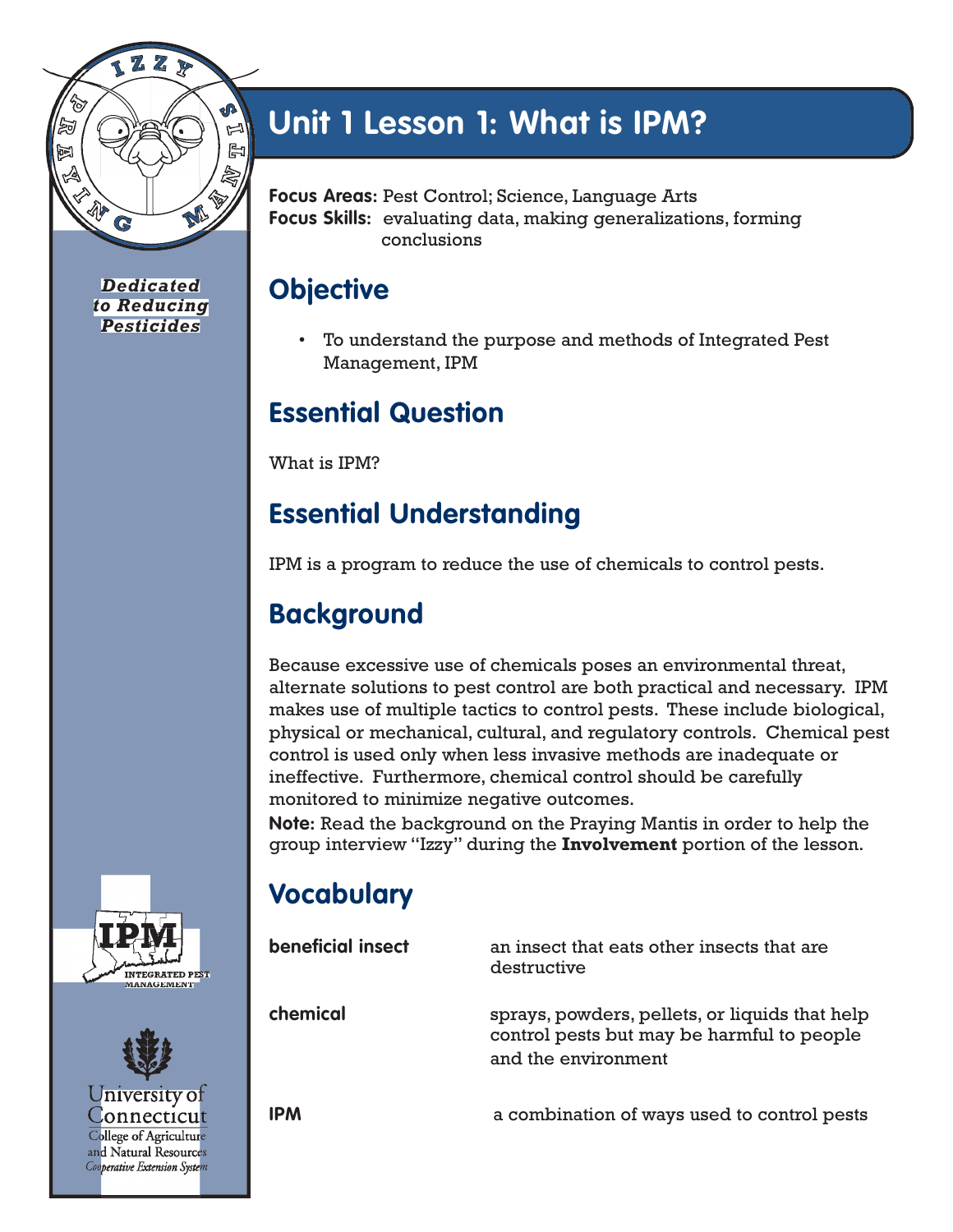

*Dedicated to Reducing Pesticides*

# **Unit 1 Lesson 1: What is IPM?**

**Focus Areas:** Pest Control; Science, Language Arts **Focus Skills:** evaluating data, making generalizations, forming conclusions

### **Objective**

• To understand the purpose and methods of Integrated Pest Management, IPM

### **Essential Question**

What is IPM?

### **Essential Understanding**

IPM is a program to reduce the use of chemicals to control pests.

## **Background**

Because excessive use of chemicals poses an environmental threat, alternate solutions to pest control are both practical and necessary. IPM makes use of multiple tactics to control pests. These include biological, physical or mechanical, cultural, and regulatory controls. Chemical pest control is used only when less invasive methods are inadequate or ineffective. Furthermore, chemical control should be carefully monitored to minimize negative outcomes.

**Note:** Read the background on the Praying Mantis in order to help the group interview "Izzy" during the **Involvement** portion of the lesson.

## **Vocabulary**

**beneficial insect** an insect that eats other insects that are destructive **chemical** sprays, powders, pellets, or liquids that help control pests but may be harmful to people and the environment **IPM** a combination of ways used to control pests





**Lonnecticut** 

College of Agriculture and Natural Resources Cooperative Extension System

(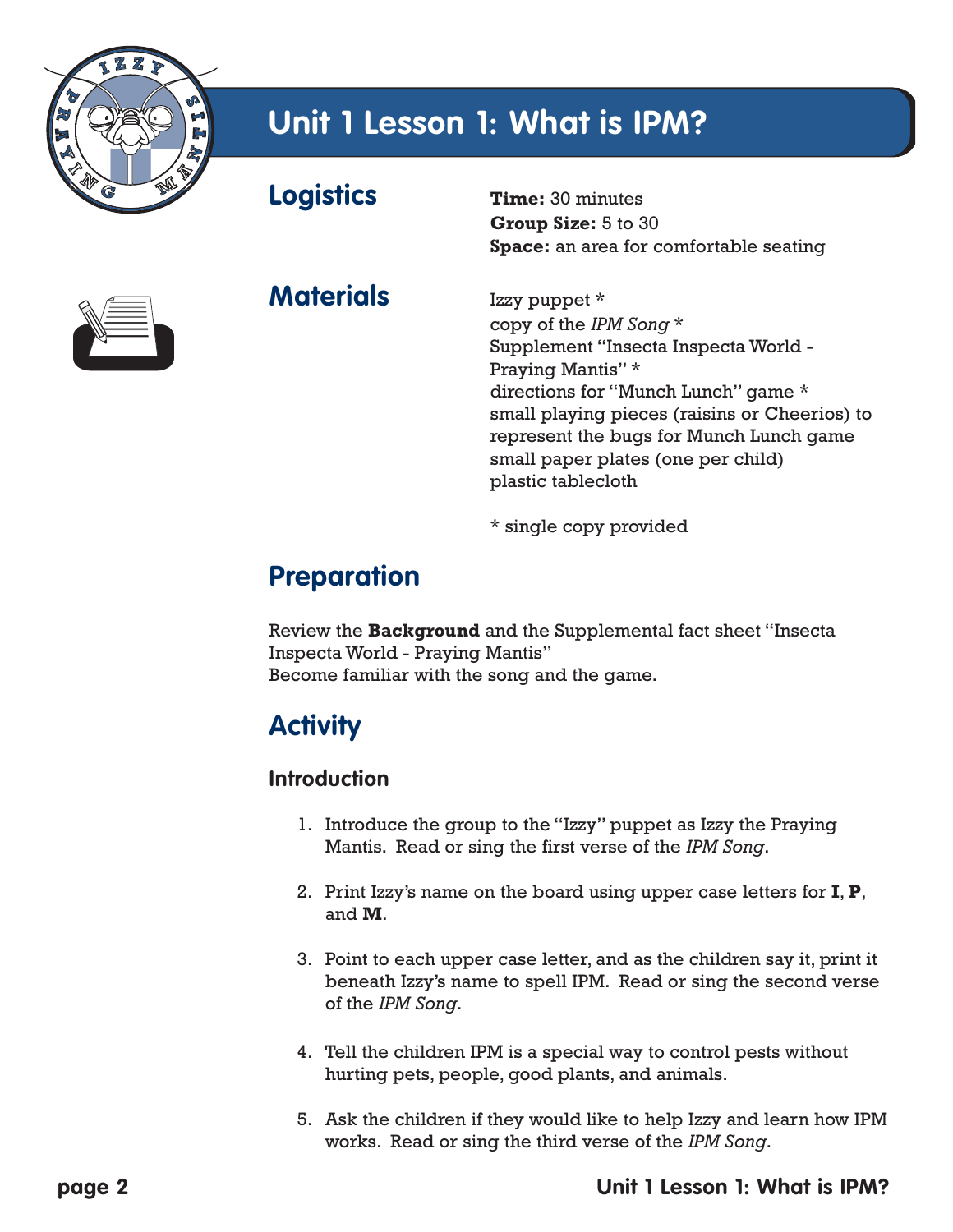

## **Unit 1 Lesson 1: What is IPM?**

**Logistics Time:** 30 minutes



**Materials** Izzy puppet \*

**Group Size:** 5 to 30 **Space:** an area for comfortable seating

copy of the *IPM Song* \* Supplement "Insecta Inspecta World - Praying Mantis" \* directions for "Munch Lunch" game \* small playing pieces (raisins or Cheerios) to represent the bugs for Munch Lunch game small paper plates (one per child) plastic tablecloth

\* single copy provided

### **Preparation**

Review the **Background** and the Supplemental fact sheet "Insecta Inspecta World - Praying Mantis" Become familiar with the song and the game.

### **Activity**

### **Introduction**

- 1. Introduce the group to the "Izzy" puppet as Izzy the Praying Mantis. Read or sing the first verse of the *IPM Song*.
- 2. Print Izzy's name on the board using upper case letters for **I**, **P**, and **M**.
- 3. Point to each upper case letter, and as the children say it, print it beneath Izzy's name to spell IPM. Read or sing the second verse of the *IPM Song*.
- 4. Tell the children IPM is a special way to control pests without hurting pets, people, good plants, and animals.
- 5. Ask the children if they would like to help Izzy and learn how IPM works. Read or sing the third verse of the *IPM Song*.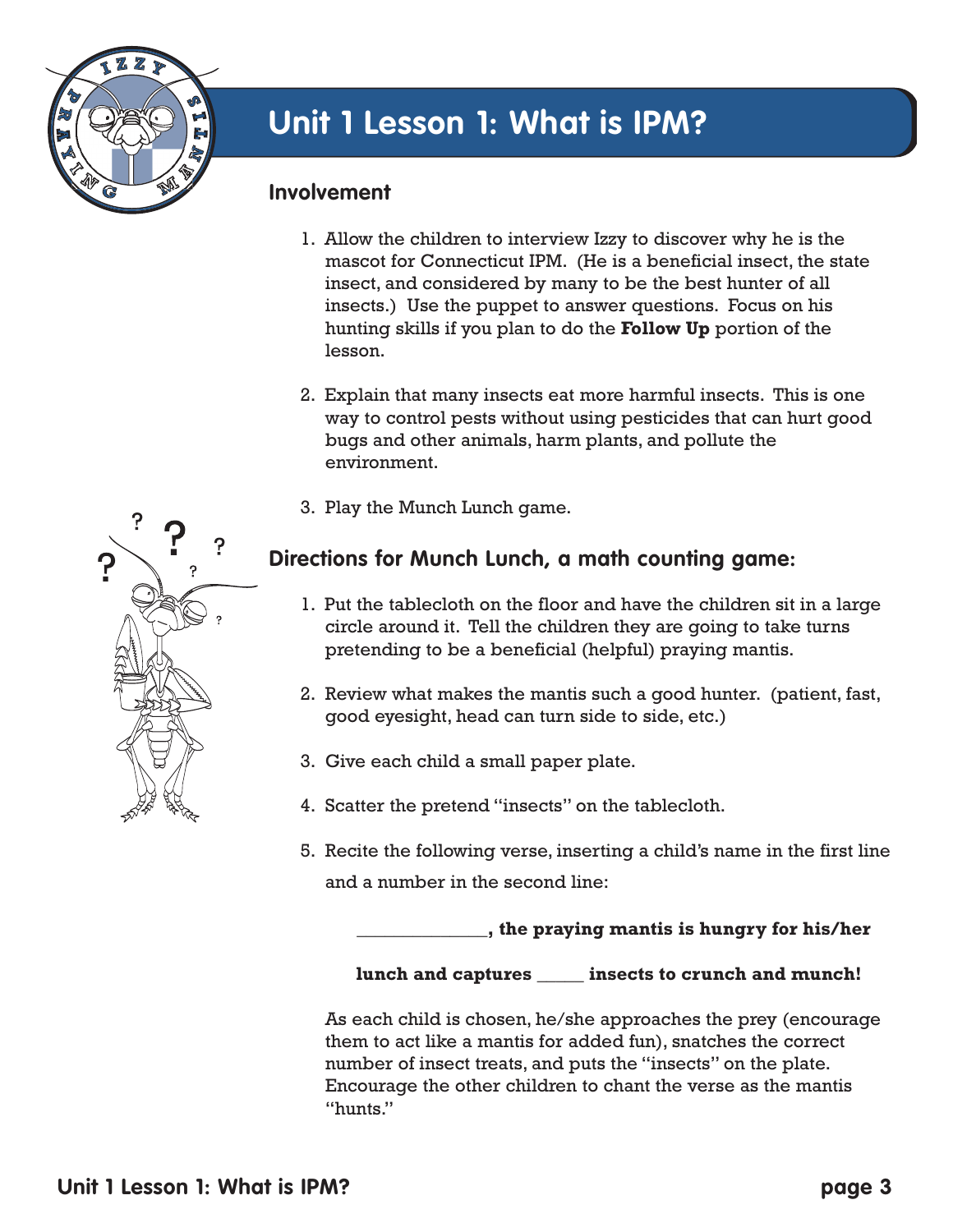

#### **Involvement**

- 1. Allow the children to interview Izzy to discover why he is the mascot for Connecticut IPM. (He is a beneficial insect, the state insect, and considered by many to be the best hunter of all insects.) Use the puppet to answer questions. Focus on his hunting skills if you plan to do the **Follow Up** portion of the lesson.
- 2. Explain that many insects eat more harmful insects. This is one way to control pests without using pesticides that can hurt good bugs and other animals, harm plants, and pollute the environment.
- 3. Play the Munch Lunch game.

### **Directions for Munch Lunch, a math counting game:**

- 1. Put the tablecloth on the floor and have the children sit in a large circle around it. Tell the children they are going to take turns pretending to be a beneficial (helpful) praying mantis.
- 2. Review what makes the mantis such a good hunter. (patient, fast, good eyesight, head can turn side to side, etc.)
- 3. Give each child a small paper plate.
- 4. Scatter the pretend "insects" on the tablecloth.
- 5. Recite the following verse, inserting a child's name in the first line and a number in the second line:

**\_\_\_\_\_\_\_\_\_\_\_\_\_\_, the praying mantis is hungry for his/her** 

#### **lunch and captures \_\_\_\_\_ insects to crunch and munch!**

As each child is chosen, he/she approaches the prey (encourage them to act like a mantis for added fun), snatches the correct number of insect treats, and puts the "insects" on the plate. Encourage the other children to chant the verse as the mantis "hunts."